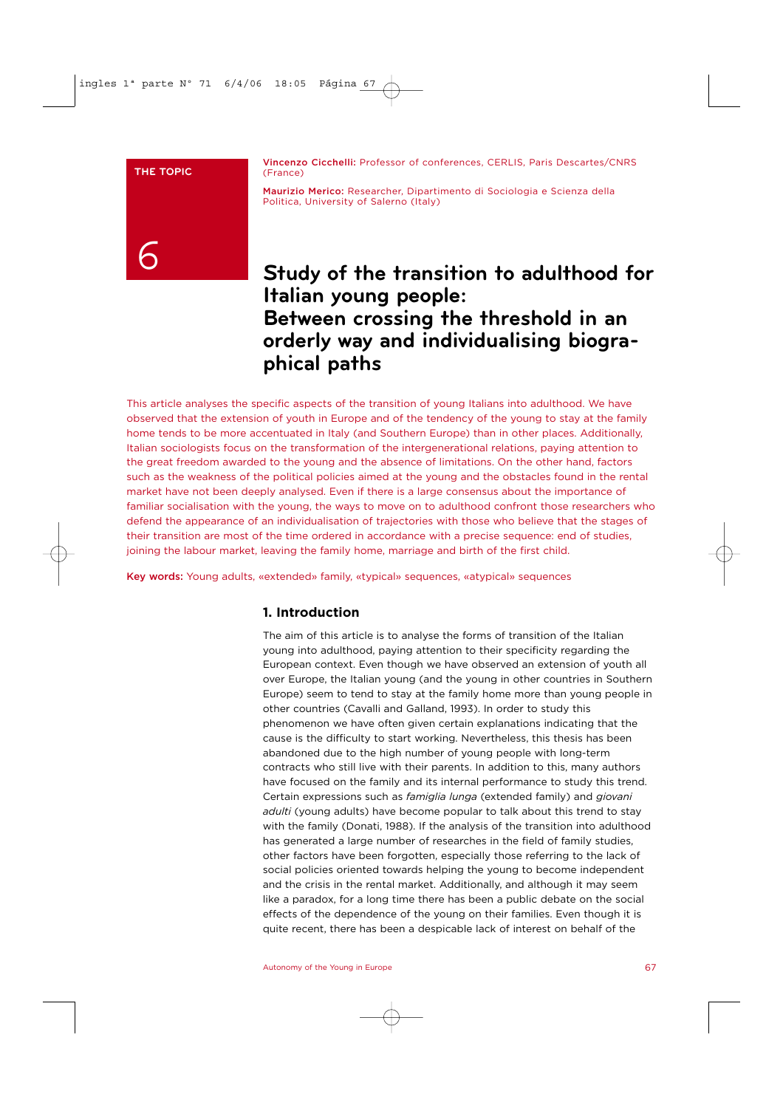#### **THE TOPIC**

Vincenzo Cicchelli: Professor of conferences, CERLIS, Paris Descartes/CNRS (France)

Maurizio Merico: Researcher, Dipartimento di Sociologia e Scienza della Politica, University of Salerno (Italy)

# 6

## **Study of the transition to adulthood for Italian young people: Between crossing the threshold in an orderly way and individualising biographical paths**

This article analyses the specific aspects of the transition of young Italians into adulthood. We have observed that the extension of youth in Europe and of the tendency of the young to stay at the family home tends to be more accentuated in Italy (and Southern Europe) than in other places. Additionally, Italian sociologists focus on the transformation of the intergenerational relations, paying attention to the great freedom awarded to the young and the absence of limitations. On the other hand, factors such as the weakness of the political policies aimed at the young and the obstacles found in the rental market have not been deeply analysed. Even if there is a large consensus about the importance of familiar socialisation with the young, the ways to move on to adulthood confront those researchers who defend the appearance of an individualisation of trajectories with those who believe that the stages of their transition are most of the time ordered in accordance with a precise sequence: end of studies, joining the labour market, leaving the family home, marriage and birth of the first child.

Key words: Young adults, «extended» family, «typical» sequences, «atypical» sequences

## **1. Introduction**

The aim of this article is to analyse the forms of transition of the Italian young into adulthood, paying attention to their specificity regarding the European context. Even though we have observed an extension of youth all over Europe, the Italian young (and the young in other countries in Southern Europe) seem to tend to stay at the family home more than young people in other countries (Cavalli and Galland, 1993). In order to study this phenomenon we have often given certain explanations indicating that the cause is the difficulty to start working. Nevertheless, this thesis has been abandoned due to the high number of young people with long-term contracts who still live with their parents. In addition to this, many authors have focused on the family and its internal performance to study this trend. Certain expressions such as *famiglia lunga* (extended family) and *giovani adulti* (young adults) have become popular to talk about this trend to stay with the family (Donati, 1988). If the analysis of the transition into adulthood has generated a large number of researches in the field of family studies, other factors have been forgotten, especially those referring to the lack of social policies oriented towards helping the young to become independent and the crisis in the rental market. Additionally, and although it may seem like a paradox, for a long time there has been a public debate on the social effects of the dependence of the young on their families. Even though it is quite recent, there has been a despicable lack of interest on behalf of the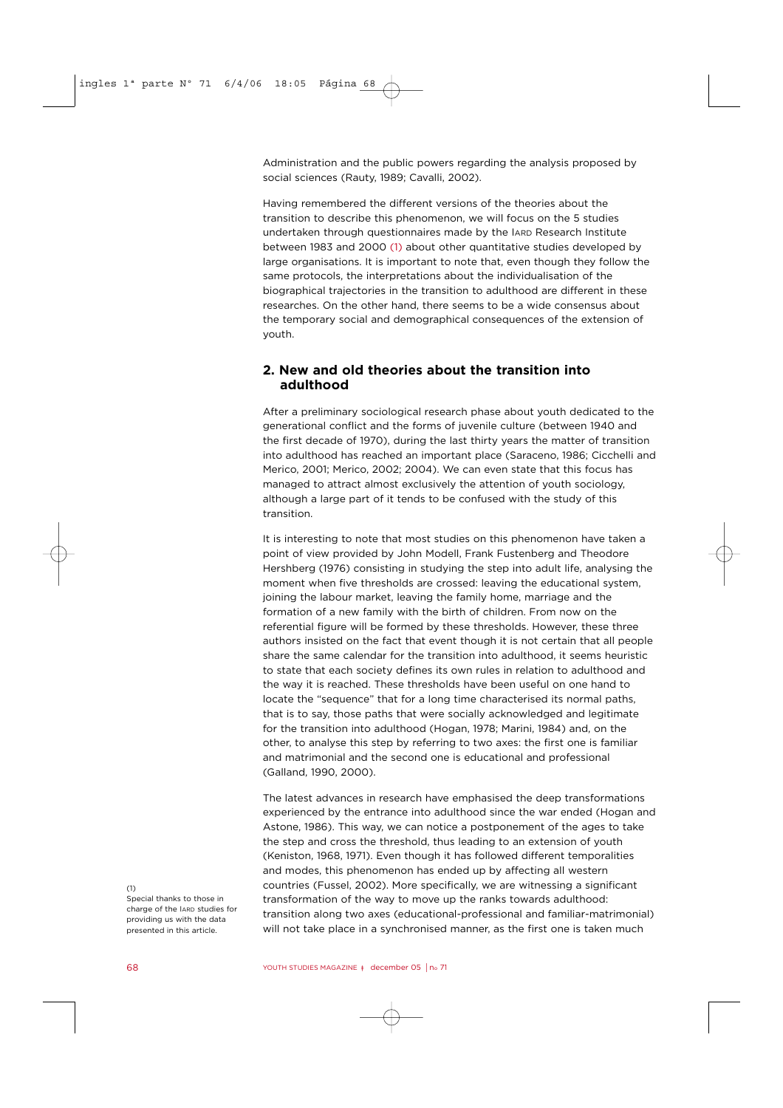Administration and the public powers regarding the analysis proposed by social sciences (Rauty, 1989; Cavalli, 2002).

Having remembered the different versions of the theories about the transition to describe this phenomenon, we will focus on the 5 studies undertaken through questionnaires made by the IARD Research Institute between 1983 and 2000 (1) about other quantitative studies developed by large organisations. It is important to note that, even though they follow the same protocols, the interpretations about the individualisation of the biographical trajectories in the transition to adulthood are different in these researches. On the other hand, there seems to be a wide consensus about the temporary social and demographical consequences of the extension of youth.

## **2. New and old theories about the transition into adulthood**

After a preliminary sociological research phase about youth dedicated to the generational conflict and the forms of juvenile culture (between 1940 and the first decade of 1970), during the last thirty years the matter of transition into adulthood has reached an important place (Saraceno, 1986; Cicchelli and Merico, 2001; Merico, 2002; 2004). We can even state that this focus has managed to attract almost exclusively the attention of youth sociology, although a large part of it tends to be confused with the study of this transition.

It is interesting to note that most studies on this phenomenon have taken a point of view provided by John Modell, Frank Fustenberg and Theodore Hershberg (1976) consisting in studying the step into adult life, analysing the moment when five thresholds are crossed: leaving the educational system, joining the labour market, leaving the family home, marriage and the formation of a new family with the birth of children. From now on the referential figure will be formed by these thresholds. However, these three authors insisted on the fact that event though it is not certain that all people share the same calendar for the transition into adulthood, it seems heuristic to state that each society defines its own rules in relation to adulthood and the way it is reached. These thresholds have been useful on one hand to locate the "sequence" that for a long time characterised its normal paths, that is to say, those paths that were socially acknowledged and legitimate for the transition into adulthood (Hogan, 1978; Marini, 1984) and, on the other, to analyse this step by referring to two axes: the first one is familiar and matrimonial and the second one is educational and professional (Galland, 1990, 2000).

The latest advances in research have emphasised the deep transformations experienced by the entrance into adulthood since the war ended (Hogan and Astone, 1986). This way, we can notice a postponement of the ages to take the step and cross the threshold, thus leading to an extension of youth (Keniston, 1968, 1971). Even though it has followed different temporalities and modes, this phenomenon has ended up by affecting all western countries (Fussel, 2002). More specifically, we are witnessing a significant transformation of the way to move up the ranks towards adulthood: transition along two axes (educational-professional and familiar-matrimonial) will not take place in a synchronised manner, as the first one is taken much

 $(1)$ Special thanks to those in charge of the IARD studies for providing us with the data presented in this article.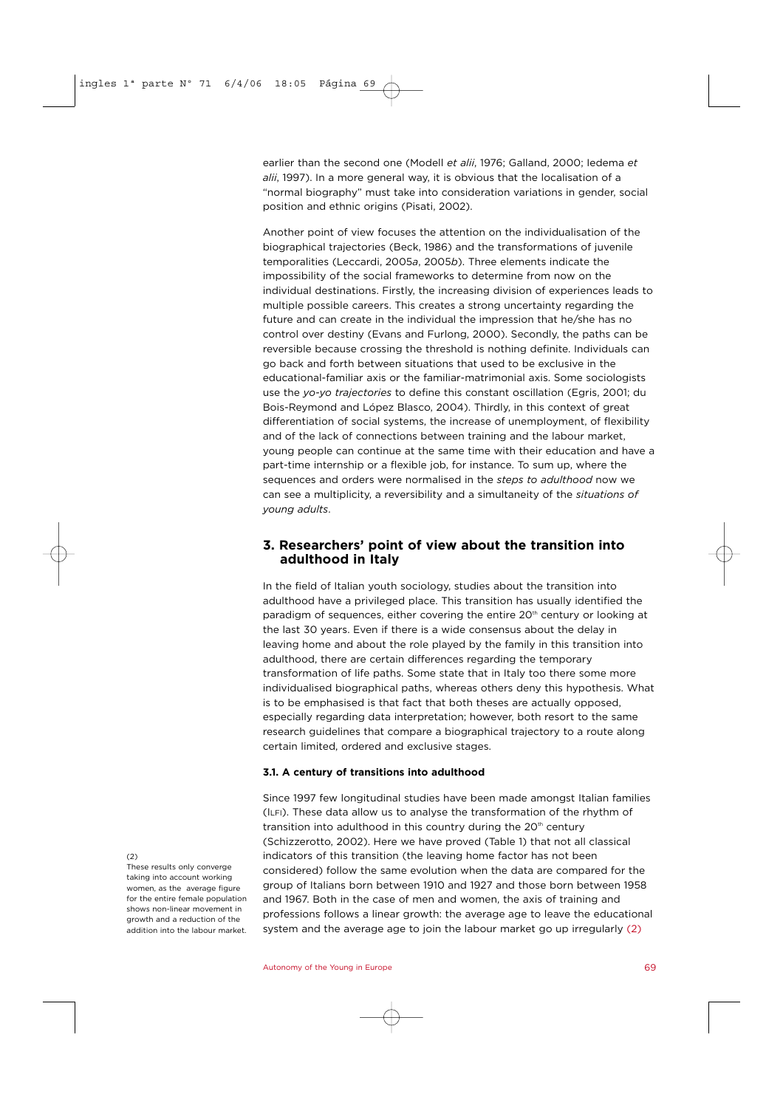earlier than the second one (Modell *et alii*, 1976; Galland, 2000; Iedema *et alii*, 1997). In a more general way, it is obvious that the localisation of a "normal biography" must take into consideration variations in gender, social position and ethnic origins (Pisati, 2002).

Another point of view focuses the attention on the individualisation of the biographical trajectories (Beck, 1986) and the transformations of juvenile temporalities (Leccardi, 2005*a*, 2005*b*). Three elements indicate the impossibility of the social frameworks to determine from now on the individual destinations. Firstly, the increasing division of experiences leads to multiple possible careers. This creates a strong uncertainty regarding the future and can create in the individual the impression that he/she has no control over destiny (Evans and Furlong, 2000). Secondly, the paths can be reversible because crossing the threshold is nothing definite. Individuals can go back and forth between situations that used to be exclusive in the educational-familiar axis or the familiar-matrimonial axis. Some sociologists use the *yo-yo trajectories* to define this constant oscillation (Egris, 2001; du Bois-Reymond and López Blasco, 2004). Thirdly, in this context of great differentiation of social systems, the increase of unemployment, of flexibility and of the lack of connections between training and the labour market, young people can continue at the same time with their education and have a part-time internship or a flexible job, for instance. To sum up, where the sequences and orders were normalised in the *steps to adulthood* now we can see a multiplicity, a reversibility and a simultaneity of the *situations of young adults*.

## **3. Researchers' point of view about the transition into adulthood in Italy**

In the field of Italian youth sociology, studies about the transition into adulthood have a privileged place. This transition has usually identified the paradigm of sequences, either covering the entire  $20<sup>th</sup>$  century or looking at the last 30 years. Even if there is a wide consensus about the delay in leaving home and about the role played by the family in this transition into adulthood, there are certain differences regarding the temporary transformation of life paths. Some state that in Italy too there some more individualised biographical paths, whereas others deny this hypothesis. What is to be emphasised is that fact that both theses are actually opposed, especially regarding data interpretation; however, both resort to the same research guidelines that compare a biographical trajectory to a route along certain limited, ordered and exclusive stages.

#### **3.1. A century of transitions into adulthood**

Since 1997 few longitudinal studies have been made amongst Italian families (ILFI). These data allow us to analyse the transformation of the rhythm of transition into adulthood in this country during the 20<sup>th</sup> century (Schizzerotto, 2002). Here we have proved (Table 1) that not all classical indicators of this transition (the leaving home factor has not been considered) follow the same evolution when the data are compared for the group of Italians born between 1910 and 1927 and those born between 1958 and 1967. Both in the case of men and women, the axis of training and professions follows a linear growth: the average age to leave the educational system and the average age to join the labour market go up irregularly (2)

(2)

These results only converge taking into account working women, as the average figure for the entire female population shows non-linear movement in growth and a reduction of the addition into the labour market.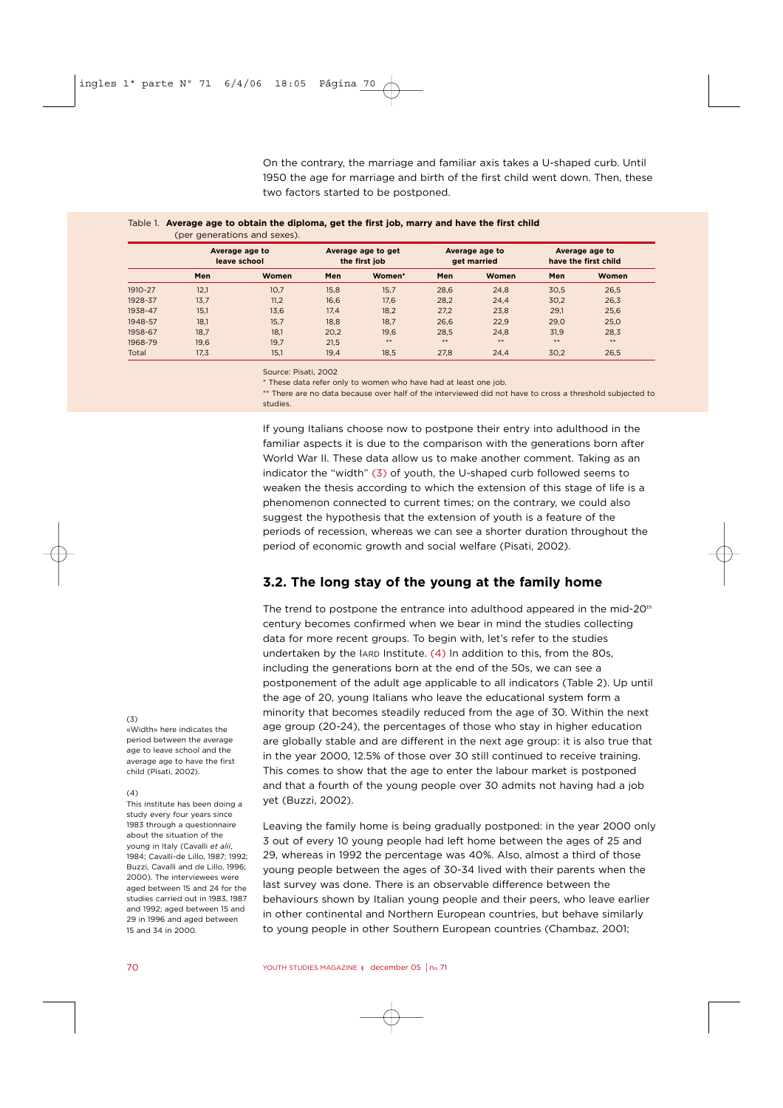On the contrary, the marriage and familiar axis takes a U-shaped curb. Until 1950 the age for marriage and birth of the first child went down. Then, these two factors started to be postponed.

|         |                                | (per generations and sexes). |                                     |        |                               |       |                                        |       |
|---------|--------------------------------|------------------------------|-------------------------------------|--------|-------------------------------|-------|----------------------------------------|-------|
|         | Average age to<br>leave school |                              | Average age to get<br>the first job |        | Average age to<br>get married |       | Average age to<br>have the first child |       |
|         | Men                            | Women                        | Men                                 | Women* | Men                           | Women | Men                                    | Women |
| 1910-27 | 12.1                           | 10.7                         | 15,8                                | 15.7   | 28,6                          | 24.8  | 30.5                                   | 26,5  |
| 1928-37 | 13,7                           | 11,2                         | 16,6                                | 17,6   | 28,2                          | 24,4  | 30,2                                   | 26,3  |
| 1938-47 | 15.1                           | 13.6                         | 17.4                                | 18.2   | 27.2                          | 23.8  | 29.1                                   | 25,6  |
| 1948-57 | 18.1                           | 15.7                         | 18.8                                | 18.7   | 26.6                          | 22.9  | 29.0                                   | 25,0  |
| 1958-67 | 18.7                           | 18.1                         | 20.2                                | 19.6   | 28.5                          | 24.8  | 31.9                                   | 28,3  |
| 1968-79 | 19.6                           | 19.7                         | 21,5                                | $* *$  | $***$                         | $***$ | $***$                                  | $**$  |
| Total   | 17.3                           | 15,1                         | 19.4                                | 18.5   | 27.8                          | 24.4  | 30.2                                   | 26,5  |

## Table 1. **Average age to obtain the diploma, get the first job, marry and have the first child**

Source: Pisati, 2002

\* These data refer only to women who have had at least one job.

\*\* There are no data because over half of the interviewed did not have to cross a threshold subjected to studies.

If young Italians choose now to postpone their entry into adulthood in the familiar aspects it is due to the comparison with the generations born after World War II. These data allow us to make another comment. Taking as an indicator the "width" (3) of youth, the U-shaped curb followed seems to weaken the thesis according to which the extension of this stage of life is a phenomenon connected to current times; on the contrary, we could also suggest the hypothesis that the extension of youth is a feature of the periods of recession, whereas we can see a shorter duration throughout the period of economic growth and social welfare (Pisati, 2002).

## **3.2. The long stay of the young at the family home**

The trend to postpone the entrance into adulthood appeared in the mid- $20<sup>th</sup>$ century becomes confirmed when we bear in mind the studies collecting data for more recent groups. To begin with, let's refer to the studies undertaken by the IARD Institute. (4) In addition to this, from the 80s, including the generations born at the end of the 50s, we can see a postponement of the adult age applicable to all indicators (Table 2). Up until the age of 20, young Italians who leave the educational system form a minority that becomes steadily reduced from the age of 30. Within the next age group (20-24), the percentages of those who stay in higher education are globally stable and are different in the next age group: it is also true that in the year 2000, 12.5% of those over 30 still continued to receive training. This comes to show that the age to enter the labour market is postponed and that a fourth of the young people over 30 admits not having had a job yet (Buzzi, 2002).

Leaving the family home is being gradually postponed: in the year 2000 only 3 out of every 10 young people had left home between the ages of 25 and 29, whereas in 1992 the percentage was 40%. Also, almost a third of those young people between the ages of 30-34 lived with their parents when the last survey was done. There is an observable difference between the behaviours shown by Italian young people and their peers, who leave earlier in other continental and Northern European countries, but behave similarly to young people in other Southern European countries (Chambaz, 2001;

#### $(3)$

«Width» here indicates the period between the average age to leave school and the average age to have the first child (Pisati, 2002).

#### $(4)$

This institute has been doing a study every four years since 1983 through a questionnaire about the situation of the young in Italy (Cavalli *et alii*, 1984; Cavalli-de Lillo, 1987; 1992; Buzzi, Cavalli and de Lillo, 1996; 2000). The interviewees were aged between 15 and 24 for the studies carried out in 1983, 1987 and 1992; aged between 15 and 29 in 1996 and aged between 15 and 34 in 2000.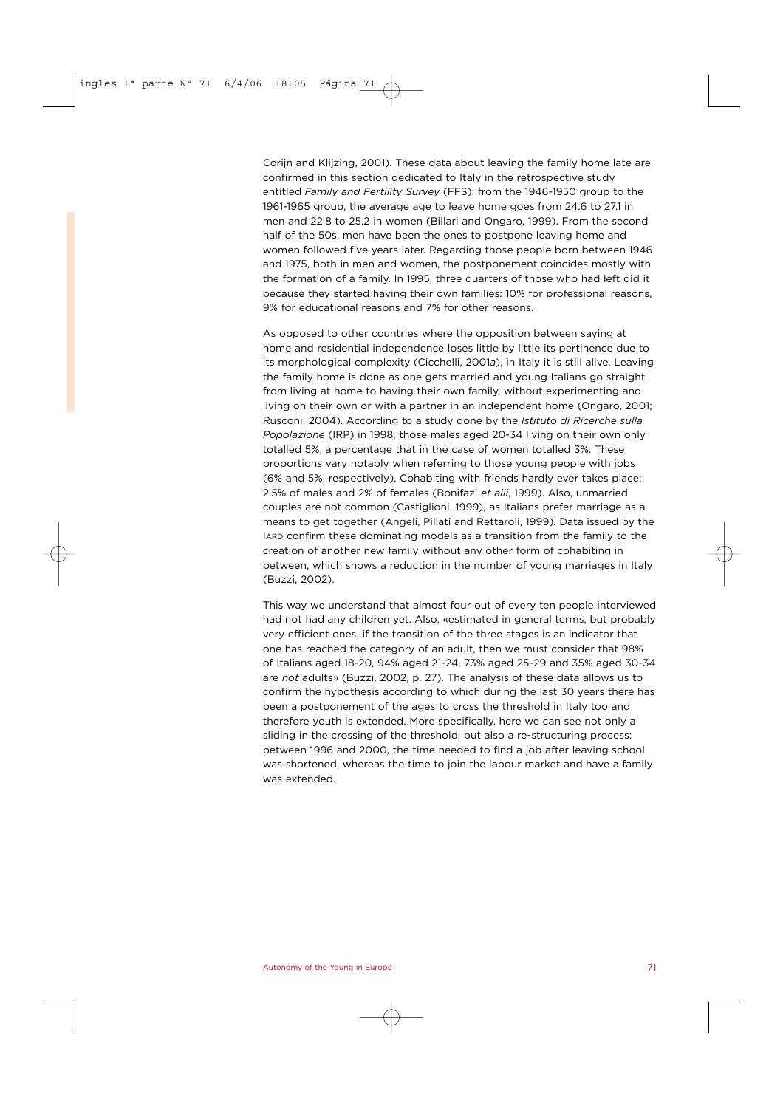Corijn and Klijzing, 2001). These data about leaving the family home late are confirmed in this section dedicated to Italy in the retrospective study entitled *Family and Fertility Survey* (FFS): from the 1946-1950 group to the 1961-1965 group, the average age to leave home goes from 24.6 to 27.1 in men and 22.8 to 25.2 in women (Billari and Ongaro, 1999). From the second half of the 50s, men have been the ones to postpone leaving home and women followed five years later. Regarding those people born between 1946 and 1975, both in men and women, the postponement coincides mostly with the formation of a family. In 1995, three quarters of those who had left did it because they started having their own families: 10% for professional reasons, 9% for educational reasons and 7% for other reasons.

As opposed to other countries where the opposition between saying at home and residential independence loses little by little its pertinence due to its morphological complexity (Cicchelli, 2001*a*), in Italy it is still alive. Leaving the family home is done as one gets married and young Italians go straight from living at home to having their own family, without experimenting and living on their own or with a partner in an independent home (Ongaro, 2001; Rusconi, 2004). According to a study done by the *Istituto di Ricerche sulla Popolazione* (IRP) in 1998, those males aged 20-34 living on their own only totalled 5%, a percentage that in the case of women totalled 3%. These proportions vary notably when referring to those young people with jobs (6% and 5%, respectively). Cohabiting with friends hardly ever takes place: 2.5% of males and 2% of females (Bonifazi *et alii*, 1999). Also, unmarried couples are not common (Castiglioni, 1999), as Italians prefer marriage as a means to get together (Angeli, Pillati and Rettaroli, 1999). Data issued by the IARD confirm these dominating models as a transition from the family to the creation of another new family without any other form of cohabiting in between, which shows a reduction in the number of young marriages in Italy (Buzzi, 2002).

This way we understand that almost four out of every ten people interviewed had not had any children yet. Also, «estimated in general terms, but probably very efficient ones, if the transition of the three stages is an indicator that one has reached the category of an adult, then we must consider that 98% of Italians aged 18-20, 94% aged 21-24, 73% aged 25-29 and 35% aged 30-34 are *not* adults» (Buzzi, 2002, p. 27). The analysis of these data allows us to confirm the hypothesis according to which during the last 30 years there has been a postponement of the ages to cross the threshold in Italy too and therefore youth is extended. More specifically, here we can see not only a sliding in the crossing of the threshold, but also a re-structuring process: between 1996 and 2000, the time needed to find a job after leaving school was shortened, whereas the time to join the labour market and have a family was extended.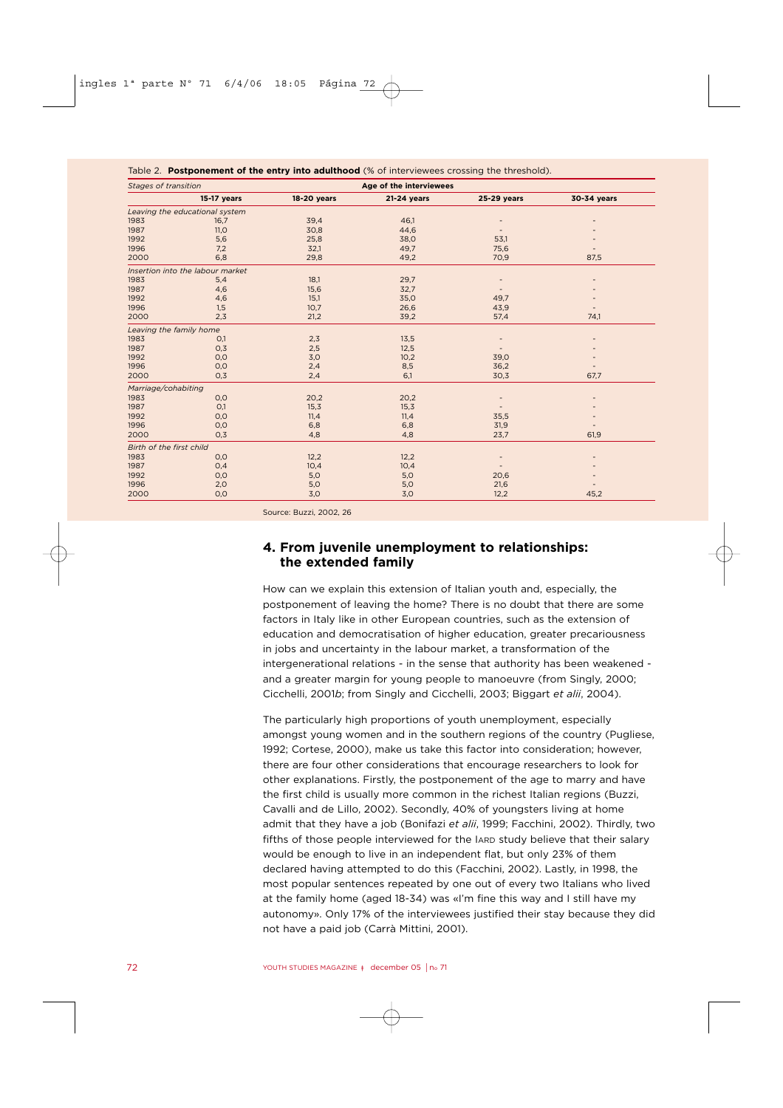| Table 2. Postponement of the entry into adulthood (% of interviewees crossing the threshold). |                                  |             |             |             |             |  |  |  |  |  |
|-----------------------------------------------------------------------------------------------|----------------------------------|-------------|-------------|-------------|-------------|--|--|--|--|--|
| Stages of transition                                                                          |                                  |             |             |             |             |  |  |  |  |  |
|                                                                                               | 15-17 years                      | 18-20 years | 21-24 years | 25-29 years | 30-34 years |  |  |  |  |  |
|                                                                                               | Leaving the educational system   |             |             |             |             |  |  |  |  |  |
| 1983                                                                                          | 16,7                             | 39,4        | 46,1        |             |             |  |  |  |  |  |
| 1987                                                                                          | 11,0                             | 30,8        | 44,6        |             |             |  |  |  |  |  |
| 1992                                                                                          | 5,6                              | 25,8        | 38,0        | 53,1        |             |  |  |  |  |  |
| 1996                                                                                          | 7,2                              | 32,1        | 49,7        | 75,6        |             |  |  |  |  |  |
| 2000                                                                                          | 6,8                              | 29,8        | 49,2        | 70,9        | 87,5        |  |  |  |  |  |
|                                                                                               | Insertion into the labour market |             |             |             |             |  |  |  |  |  |
| 1983                                                                                          | 5,4                              | 18,1        | 29,7        |             |             |  |  |  |  |  |
| 1987                                                                                          | 4,6                              | 15,6        | 32,7        |             |             |  |  |  |  |  |
| 1992                                                                                          | 4,6                              | 15,1        | 35,0        | 49,7        |             |  |  |  |  |  |
| 1996                                                                                          | 1,5                              | 10,7        | 26,6        | 43,9        |             |  |  |  |  |  |
| 2000                                                                                          | 2.3                              | 21,2        | 39,2        | 57,4        | 74,1        |  |  |  |  |  |
|                                                                                               | Leaving the family home          |             |             |             |             |  |  |  |  |  |
| 1983                                                                                          | O,1                              | 2,3         | 13,5        |             |             |  |  |  |  |  |
| 1987                                                                                          | O,3                              | 2,5         | 12,5        |             |             |  |  |  |  |  |
| 1992                                                                                          | 0,0                              | 3,0         | 10,2        | 39,0        |             |  |  |  |  |  |
| 1996                                                                                          | 0,0                              | 2,4         | 8,5         | 36,2        |             |  |  |  |  |  |
| 2000                                                                                          | 0,3                              | 2,4         | 6,1         | 30,3        | 67.7        |  |  |  |  |  |
| Marriage/cohabiting                                                                           |                                  |             |             |             |             |  |  |  |  |  |
| 1983                                                                                          | 0,0                              | 20,2        | 20,2        |             |             |  |  |  |  |  |
| 1987                                                                                          | O,1                              | 15,3        | 15,3        |             |             |  |  |  |  |  |
| 1992                                                                                          | 0,0                              | 11,4        | 11,4        | 35,5        |             |  |  |  |  |  |
| 1996                                                                                          | 0,0                              | 6,8         | 6,8         | 31,9        |             |  |  |  |  |  |
| 2000                                                                                          | 0,3                              | 4,8         | 4,8         | 23,7        | 61,9        |  |  |  |  |  |
|                                                                                               | Birth of the first child         |             |             |             |             |  |  |  |  |  |
| 1983                                                                                          | 0,0                              | 12,2        | 12,2        |             |             |  |  |  |  |  |
| 1987                                                                                          | 0,4                              | 10,4        | 10,4        |             |             |  |  |  |  |  |
| 1992                                                                                          | 0,0                              | 5,0         | 5,0         | 20,6        |             |  |  |  |  |  |
| 1996                                                                                          | 2,0                              | 5,0         | 5,0         | 21,6        |             |  |  |  |  |  |
| 2000                                                                                          | 0,0                              | 3,0         | 3,0         | 12,2        | 45,2        |  |  |  |  |  |

Source: Buzzi, 2002, 26

## **4. From juvenile unemployment to relationships: the extended family**

How can we explain this extension of Italian youth and, especially, the postponement of leaving the home? There is no doubt that there are some factors in Italy like in other European countries, such as the extension of education and democratisation of higher education, greater precariousness in jobs and uncertainty in the labour market, a transformation of the intergenerational relations - in the sense that authority has been weakened and a greater margin for young people to manoeuvre (from Singly, 2000; Cicchelli, 2001*b*; from Singly and Cicchelli, 2003; Biggart *et alii*, 2004).

The particularly high proportions of youth unemployment, especially amongst young women and in the southern regions of the country (Pugliese, 1992; Cortese, 2000), make us take this factor into consideration; however, there are four other considerations that encourage researchers to look for other explanations. Firstly, the postponement of the age to marry and have the first child is usually more common in the richest Italian regions (Buzzi, Cavalli and de Lillo, 2002). Secondly, 40% of youngsters living at home admit that they have a job (Bonifazi *et alii*, 1999; Facchini, 2002). Thirdly, two fifths of those people interviewed for the IARD study believe that their salary would be enough to live in an independent flat, but only 23% of them declared having attempted to do this (Facchini, 2002). Lastly, in 1998, the most popular sentences repeated by one out of every two Italians who lived at the family home (aged 18-34) was «I'm fine this way and I still have my autonomy». Only 17% of the interviewees justified their stay because they did not have a paid job (Carrà Mittini, 2001).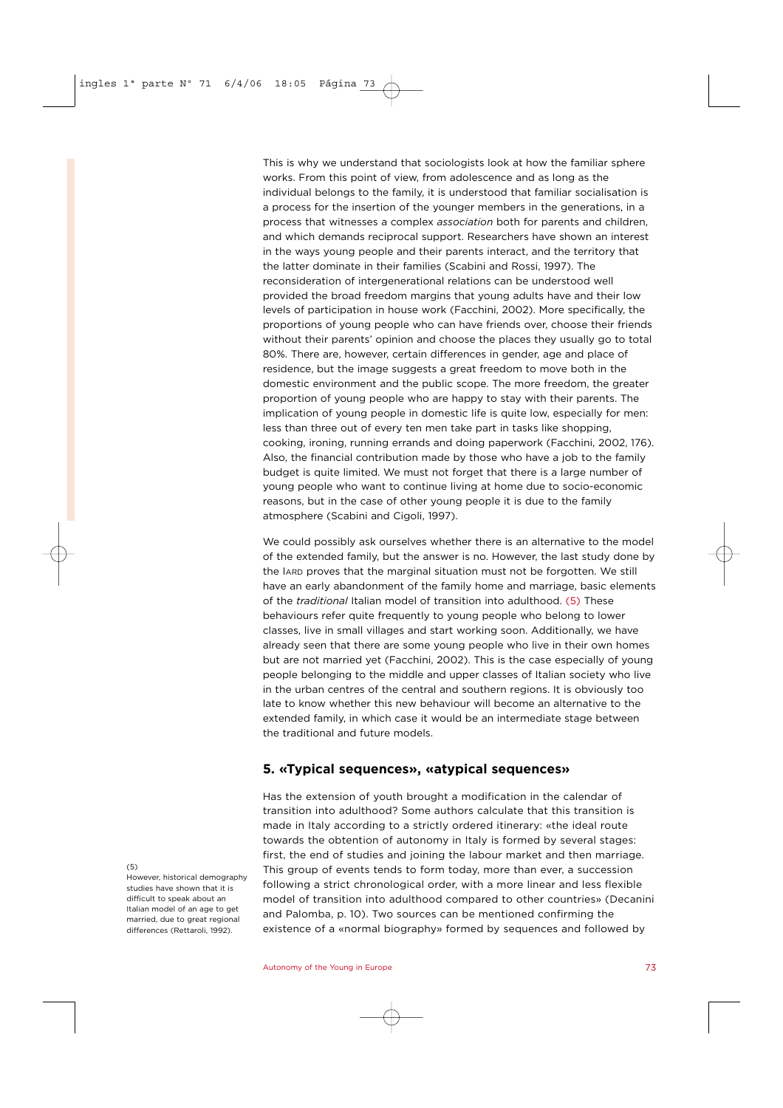This is why we understand that sociologists look at how the familiar sphere works. From this point of view, from adolescence and as long as the individual belongs to the family, it is understood that familiar socialisation is a process for the insertion of the younger members in the generations, in a process that witnesses a complex *association* both for parents and children, and which demands reciprocal support. Researchers have shown an interest in the ways young people and their parents interact, and the territory that the latter dominate in their families (Scabini and Rossi, 1997). The reconsideration of intergenerational relations can be understood well provided the broad freedom margins that young adults have and their low levels of participation in house work (Facchini, 2002). More specifically, the proportions of young people who can have friends over, choose their friends without their parents' opinion and choose the places they usually go to total 80%. There are, however, certain differences in gender, age and place of residence, but the image suggests a great freedom to move both in the domestic environment and the public scope. The more freedom, the greater proportion of young people who are happy to stay with their parents. The implication of young people in domestic life is quite low, especially for men: less than three out of every ten men take part in tasks like shopping, cooking, ironing, running errands and doing paperwork (Facchini, 2002, 176). Also, the financial contribution made by those who have a job to the family budget is quite limited. We must not forget that there is a large number of young people who want to continue living at home due to socio-economic reasons, but in the case of other young people it is due to the family atmosphere (Scabini and Cigoli, 1997).

We could possibly ask ourselves whether there is an alternative to the model of the extended family, but the answer is no. However, the last study done by the IARD proves that the marginal situation must not be forgotten. We still have an early abandonment of the family home and marriage, basic elements of the *traditional* Italian model of transition into adulthood. (5) These behaviours refer quite frequently to young people who belong to lower classes, live in small villages and start working soon. Additionally, we have already seen that there are some young people who live in their own homes but are not married yet (Facchini, 2002). This is the case especially of young people belonging to the middle and upper classes of Italian society who live in the urban centres of the central and southern regions. It is obviously too late to know whether this new behaviour will become an alternative to the extended family, in which case it would be an intermediate stage between the traditional and future models.

## **5. «Typical sequences», «atypical sequences»**

Has the extension of youth brought a modification in the calendar of transition into adulthood? Some authors calculate that this transition is made in Italy according to a strictly ordered itinerary: «the ideal route towards the obtention of autonomy in Italy is formed by several stages: first, the end of studies and joining the labour market and then marriage. This group of events tends to form today, more than ever, a succession following a strict chronological order, with a more linear and less flexible model of transition into adulthood compared to other countries» (Decanini and Palomba, p. 10). Two sources can be mentioned confirming the existence of a «normal biography» formed by sequences and followed by

#### $(5)$

However, historical demography studies have shown that it is difficult to speak about an Italian model of an age to get married, due to great regional differences (Rettaroli, 1992).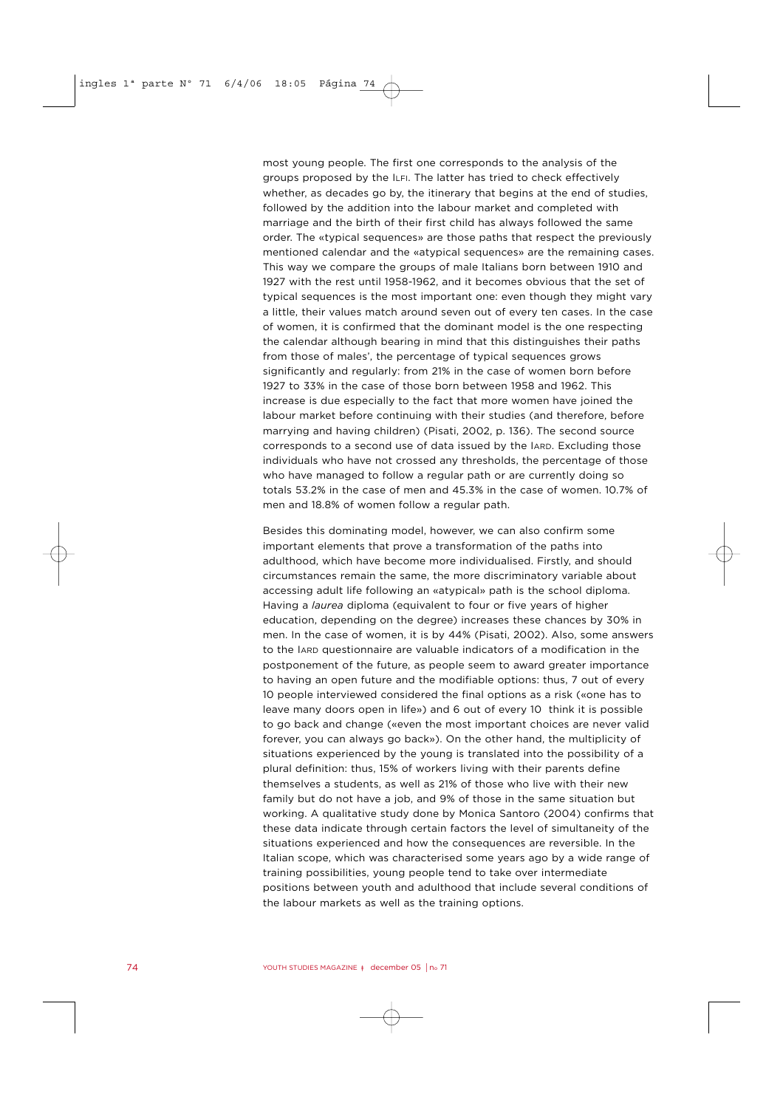most young people. The first one corresponds to the analysis of the groups proposed by the ILFI. The latter has tried to check effectively whether, as decades go by, the itinerary that begins at the end of studies, followed by the addition into the labour market and completed with marriage and the birth of their first child has always followed the same order. The «typical sequences» are those paths that respect the previously mentioned calendar and the «atypical sequences» are the remaining cases. This way we compare the groups of male Italians born between 1910 and 1927 with the rest until 1958-1962, and it becomes obvious that the set of typical sequences is the most important one: even though they might vary a little, their values match around seven out of every ten cases. In the case of women, it is confirmed that the dominant model is the one respecting the calendar although bearing in mind that this distinguishes their paths from those of males', the percentage of typical sequences grows significantly and regularly: from 21% in the case of women born before 1927 to 33% in the case of those born between 1958 and 1962. This increase is due especially to the fact that more women have joined the labour market before continuing with their studies (and therefore, before marrying and having children) (Pisati, 2002, p. 136). The second source corresponds to a second use of data issued by the IARD. Excluding those individuals who have not crossed any thresholds, the percentage of those who have managed to follow a regular path or are currently doing so totals 53.2% in the case of men and 45.3% in the case of women. 10.7% of men and 18.8% of women follow a regular path.

Besides this dominating model, however, we can also confirm some important elements that prove a transformation of the paths into adulthood, which have become more individualised. Firstly, and should circumstances remain the same, the more discriminatory variable about accessing adult life following an «atypical» path is the school diploma. Having a *laurea* diploma (equivalent to four or five years of higher education, depending on the degree) increases these chances by 30% in men. In the case of women, it is by 44% (Pisati, 2002). Also, some answers to the IARD questionnaire are valuable indicators of a modification in the postponement of the future, as people seem to award greater importance to having an open future and the modifiable options: thus, 7 out of every 10 people interviewed considered the final options as a risk («one has to leave many doors open in life») and 6 out of every 10 think it is possible to go back and change («even the most important choices are never valid forever, you can always go back»). On the other hand, the multiplicity of situations experienced by the young is translated into the possibility of a plural definition: thus, 15% of workers living with their parents define themselves a students, as well as 21% of those who live with their new family but do not have a job, and 9% of those in the same situation but working. A qualitative study done by Monica Santoro (2004) confirms that these data indicate through certain factors the level of simultaneity of the situations experienced and how the consequences are reversible. In the Italian scope, which was characterised some years ago by a wide range of training possibilities, young people tend to take over intermediate positions between youth and adulthood that include several conditions of the labour markets as well as the training options.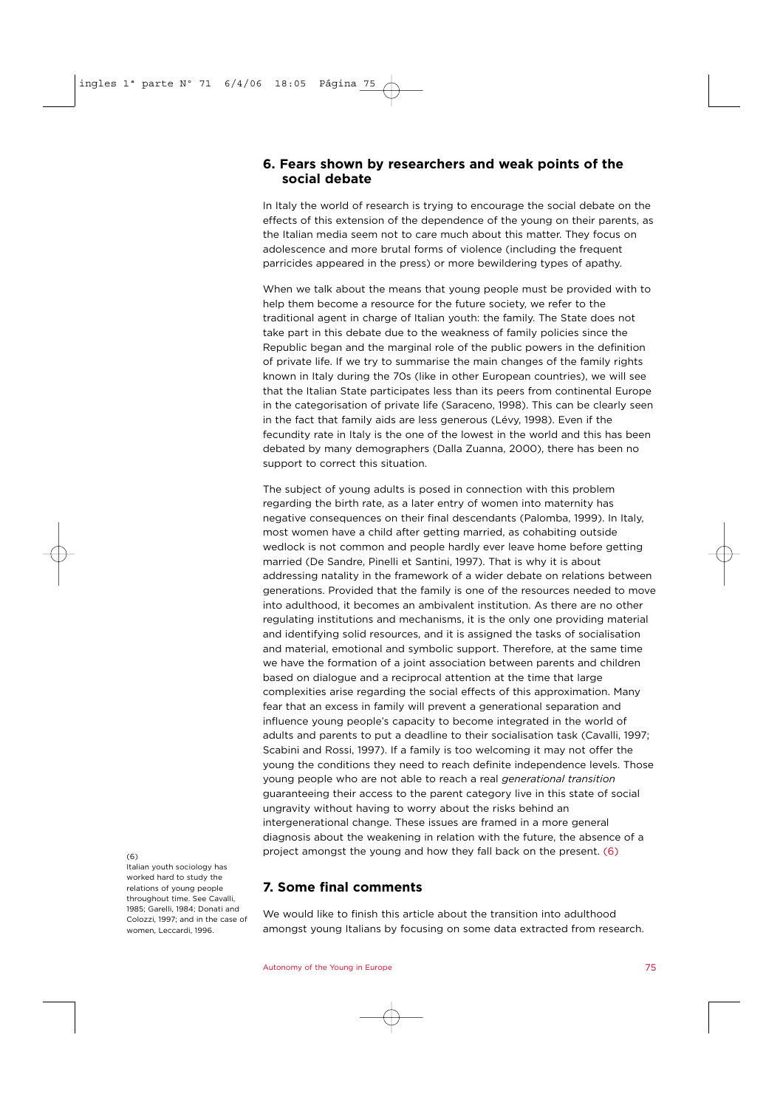## **6. Fears shown by researchers and weak points of the social debate**

In Italy the world of research is trying to encourage the social debate on the effects of this extension of the dependence of the young on their parents, as the Italian media seem not to care much about this matter. They focus on adolescence and more brutal forms of violence (including the frequent parricides appeared in the press) or more bewildering types of apathy.

When we talk about the means that young people must be provided with to help them become a resource for the future society, we refer to the traditional agent in charge of Italian youth: the family. The State does not take part in this debate due to the weakness of family policies since the Republic began and the marginal role of the public powers in the definition of private life. If we try to summarise the main changes of the family rights known in Italy during the 70s (like in other European countries), we will see that the Italian State participates less than its peers from continental Europe in the categorisation of private life (Saraceno, 1998). This can be clearly seen in the fact that family aids are less generous (Lévy, 1998). Even if the fecundity rate in Italy is the one of the lowest in the world and this has been debated by many demographers (Dalla Zuanna, 2000), there has been no support to correct this situation.

The subject of young adults is posed in connection with this problem regarding the birth rate, as a later entry of women into maternity has negative consequences on their final descendants (Palomba, 1999). In Italy, most women have a child after getting married, as cohabiting outside wedlock is not common and people hardly ever leave home before getting married (De Sandre, Pinelli et Santini, 1997). That is why it is about addressing natality in the framework of a wider debate on relations between generations. Provided that the family is one of the resources needed to move into adulthood, it becomes an ambivalent institution. As there are no other regulating institutions and mechanisms, it is the only one providing material and identifying solid resources, and it is assigned the tasks of socialisation and material, emotional and symbolic support. Therefore, at the same time we have the formation of a joint association between parents and children based on dialogue and a reciprocal attention at the time that large complexities arise regarding the social effects of this approximation. Many fear that an excess in family will prevent a generational separation and influence young people's capacity to become integrated in the world of adults and parents to put a deadline to their socialisation task (Cavalli, 1997; Scabini and Rossi, 1997). If a family is too welcoming it may not offer the young the conditions they need to reach definite independence levels. Those young people who are not able to reach a real *generational transition* guaranteeing their access to the parent category live in this state of social ungravity without having to worry about the risks behind an intergenerational change. These issues are framed in a more general diagnosis about the weakening in relation with the future, the absence of a project amongst the young and how they fall back on the present. (6)

## **7. Some final comments**

We would like to finish this article about the transition into adulthood amongst young Italians by focusing on some data extracted from research.

#### (6)

Italian youth sociology has worked hard to study the relations of young people throughout time. See Cavalli, 1985; Garelli, 1984; Donati and Colozzi, 1997; and in the case of women, Leccardi, 1996.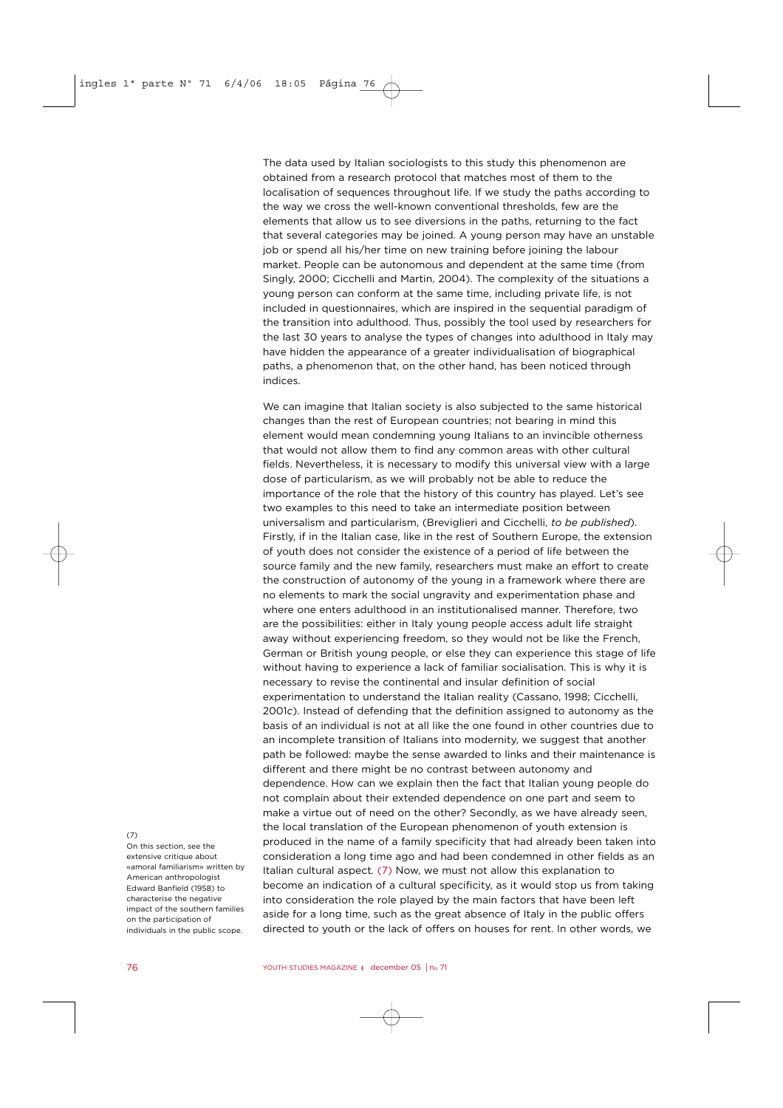The data used by Italian sociologists to this study this phenomenon are obtained from a research protocol that matches most of them to the localisation of sequences throughout life. If we study the paths according to the way we cross the well-known conventional thresholds, few are the elements that allow us to see diversions in the paths, returning to the fact that several categories may be joined. A young person may have an unstable job or spend all his/her time on new training before joining the labour market. People can be autonomous and dependent at the same time (from Singly, 2000; Cicchelli and Martin, 2004). The complexity of the situations a young person can conform at the same time, including private life, is not included in questionnaires, which are inspired in the sequential paradigm of the transition into adulthood. Thus, possibly the tool used by researchers for the last 30 years to analyse the types of changes into adulthood in Italy may have hidden the appearance of a greater individualisation of biographical paths, a phenomenon that, on the other hand, has been noticed through indices.

We can imagine that Italian society is also subjected to the same historical changes than the rest of European countries; not bearing in mind this element would mean condemning young Italians to an invincible otherness that would not allow them to find any common areas with other cultural fields. Nevertheless, it is necessary to modify this universal view with a large dose of particularism, as we will probably not be able to reduce the importance of the role that the history of this country has played. Let's see two examples to this need to take an intermediate position between universalism and particularism, (Breviglieri and Cicchelli, *to be published*). Firstly, if in the Italian case, like in the rest of Southern Europe, the extension of youth does not consider the existence of a period of life between the source family and the new family, researchers must make an effort to create the construction of autonomy of the young in a framework where there are no elements to mark the social ungravity and experimentation phase and where one enters adulthood in an institutionalised manner. Therefore, two are the possibilities: either in Italy young people access adult life straight away without experiencing freedom, so they would not be like the French, German or British young people, or else they can experience this stage of life without having to experience a lack of familiar socialisation. This is why it is necessary to revise the continental and insular definition of social experimentation to understand the Italian reality (Cassano, 1998; Cicchelli, 2001*c*). Instead of defending that the definition assigned to autonomy as the basis of an individual is not at all like the one found in other countries due to an incomplete transition of Italians into modernity, we suggest that another path be followed: maybe the sense awarded to links and their maintenance is different and there might be no contrast between autonomy and dependence. How can we explain then the fact that Italian young people do not complain about their extended dependence on one part and seem to make a virtue out of need on the other? Secondly, as we have already seen, the local translation of the European phenomenon of youth extension is produced in the name of a family specificity that had already been taken into consideration a long time ago and had been condemned in other fields as an Italian cultural aspect*.* (7) Now, we must not allow this explanation to become an indication of a cultural specificity, as it would stop us from taking into consideration the role played by the main factors that have been left aside for a long time, such as the great absence of Italy in the public offers directed to youth or the lack of offers on houses for rent. In other words, we

#### $(7)$

On this section, see the extensive critique about «amoral familiarism» written by American anthropologist Edward Banfield (1958) to characterise the negative impact of the southern families on the participation of individuals in the public scope.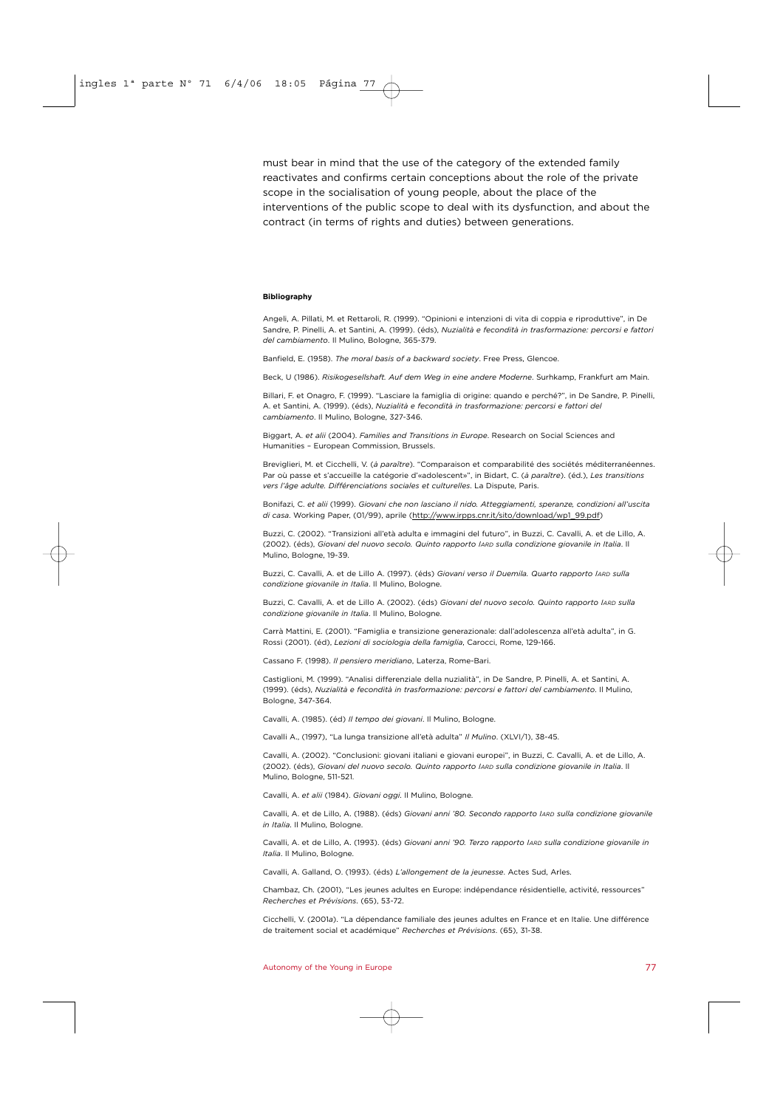must bear in mind that the use of the category of the extended family reactivates and confirms certain conceptions about the role of the private scope in the socialisation of young people, about the place of the interventions of the public scope to deal with its dysfunction, and about the contract (in terms of rights and duties) between generations.

#### **Bibliography**

Angeli, A. Pillati, M. et Rettaroli, R. (1999). "Opinioni e intenzioni di vita di coppia e riproduttive", in De Sandre, P. Pinelli, A. et Santini, A. (1999). (éds), *Nuzialità e fecondità in trasformazione: percorsi e fattori del cambiamento*. Il Mulino, Bologne, 365-379.

Banfield, E. (1958). *The moral basis of a backward society*. Free Press, Glencoe.

Beck, U (1986). *Risikogesellshaft. Auf dem Weg in eine andere Moderne*. Surhkamp, Frankfurt am Main.

Billari, F. et Onagro, F. (1999). "Lasciare la famiglia di origine: quando e perché?", in De Sandre, P. Pinelli, A. et Santini, A. (1999). (éds), *Nuzialità e fecondità in trasformazione: percorsi e fattori del cambiamento*. Il Mulino, Bologne, 327-346.

Biggart, A. *et alii* (2004). *Families and Transitions in Europe*. Research on Social Sciences and Humanities – European Commission, Brussels.

Breviglieri, M. et Cicchelli, V. (*à paraître*). "Comparaison et comparabilité des sociétés méditerranéennes. Par où passe et s'accueille la catégorie d'«adolescent»", in Bidart, C. (*à paraître*). (éd.), *Les transitions vers l'âge adulte. Différenciations sociales et culturelles*. La Dispute, Paris.

Bonifazi, C. *et alii* (1999). *Giovani che non lasciano il nido. Atteggiamenti, speranze, condizioni all'uscita di casa*. Working Paper, (01/99), aprile (http://www.irpps.cnr.it/sito/download/wp1\_99.pdf)

Buzzi, C. (2002). "Transizioni all'età adulta e immagini del futuro", in Buzzi, C. Cavalli, A. et de Lillo, A. (2002). (éds), *Giovani del nuovo secolo. Quinto rapporto IARD sulla condizione giovanile in Italia*. Il Mulino, Bologne, 19-39.

Buzzi, C. Cavalli, A. et de Lillo A. (1997). (éds) *Giovani verso il Duemila. Quarto rapporto IARD sulla condizione giovanile in Italia*. Il Mulino, Bologne.

Buzzi, C. Cavalli, A. et de Lillo A. (2002). (éds) *Giovani del nuovo secolo. Quinto rapporto IARD sulla condizione giovanile in Italia*. Il Mulino, Bologne.

Carrà Mattini, E. (2001). "Famiglia e transizione generazionale: dall'adolescenza all'età adulta", in G. Rossi (2001). (éd), *Lezioni di sociologia della famiglia*, Carocci, Rome, 129-166.

Cassano F. (1998). *Il pensiero meridiano*, Laterza, Rome-Bari.

Castiglioni, M. (1999). "Analisi differenziale della nuzialità", in De Sandre, P. Pinelli, A. et Santini, A. (1999). (éds), *Nuzialità e fecondità in trasformazione: percorsi e fattori del cambiamento*. Il Mulino, Bologne, 347-364.

Cavalli, A. (1985). (éd) *Il tempo dei giovani*. Il Mulino, Bologne.

Cavalli A., (1997), "La lunga transizione all'età adulta" *Il Mulino*. (XLVI/1), 38-45.

Cavalli, A. (2002). "Conclusioni: giovani italiani e giovani europei", in Buzzi, C. Cavalli, A. et de Lillo, A. (2002). (éds), *Giovani del nuovo secolo. Quinto rapporto IARD sulla condizione giovanile in Italia*. Il Mulino, Bologne, 511-521.

Cavalli, A. *et alii* (1984). *Giovani oggi*. Il Mulino, Bologne.

Cavalli, A. et de Lillo, A. (1988). (éds) *Giovani anni '80. Secondo rapporto IARD sulla condizione giovanile in Italia*. Il Mulino, Bologne.

Cavalli, A. et de Lillo, A. (1993). (éds) *Giovani anni '90. Terzo rapporto IARD sulla condizione giovanile in Italia*. Il Mulino, Bologne.

Cavalli, A. Galland, O. (1993). (éds) *L'allongement de la jeunesse*. Actes Sud, Arles.

Chambaz, Ch. (2001), "Les jeunes adultes en Europe: indépendance résidentielle, activité, ressources" *Recherches et Prévisions*. (65), 53-72.

Cicchelli, V. (2001*a*). "La dépendance familiale des jeunes adultes en France et en Italie. Une différence de traitement social et académique" *Recherches et Prévisions*. (65), 31-38.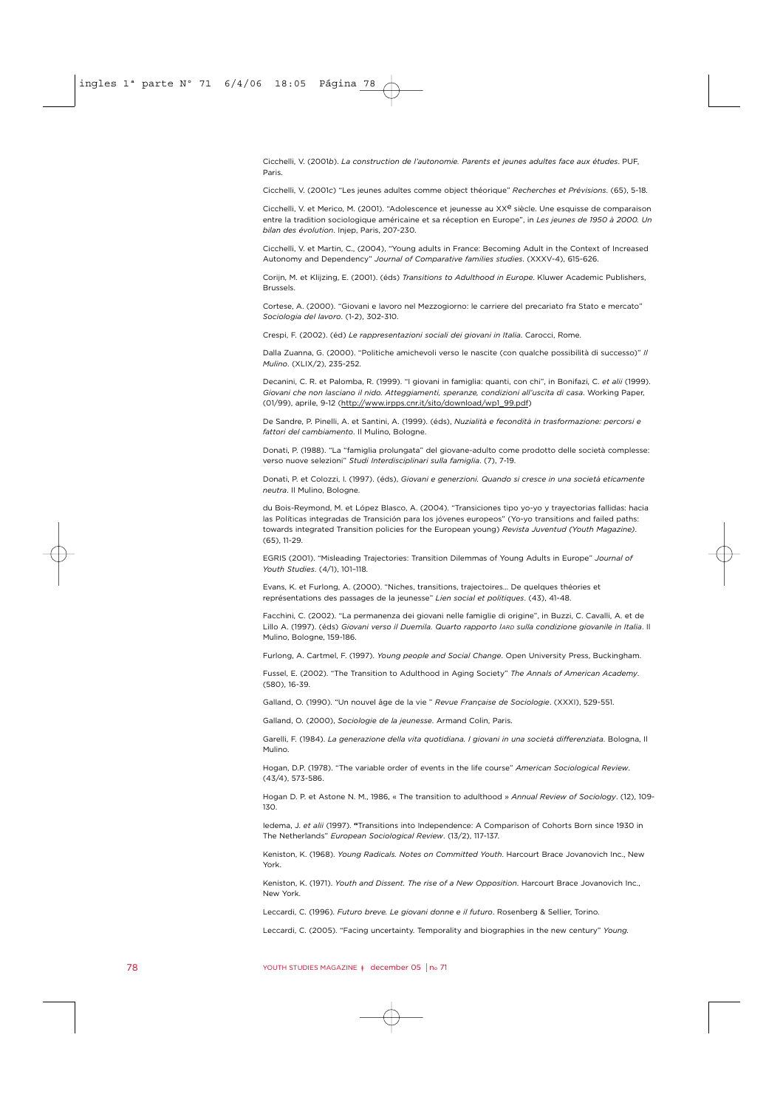Cicchelli, V. (2001*b*). *La construction de l'autonomie. Parents et jeunes adultes face aux études*. PUF, Paris.

Cicchelli, V. (2001*c*) "Les jeunes adultes comme object théorique" *Recherches et Prévisions*. (65), 5-18.

Cicchelli, V. et Merico, M. (2001). "Adolescence et jeunesse au XX<sup>e</sup> siècle. Une esquisse de comparaison entre la tradition sociologique américaine et sa réception en Europe", in *Les jeunes de 1950 à 2000. Un bilan des évolution*. Injep, Paris, 207-230.

Cicchelli, V. et Martin, C., (2004), "Young adults in France: Becoming Adult in the Context of Increased Autonomy and Dependency" *Journal of Comparative families studies*. (XXXV-4), 615-626.

Corijn, M. et Klijzing, E. (2001). (éds) *Transitions to Adulthood in Europe*. Kluwer Academic Publishers, Brussels.

Cortese, A. (2000). "Giovani e lavoro nel Mezzogiorno: le carriere del precariato fra Stato e mercato" *Sociologia del lavoro*. (1-2), 302-310.

Crespi, F. (2002). (éd) *Le rappresentazioni sociali dei giovani in Italia*. Carocci, Rome.

Dalla Zuanna, G. (2000). "Politiche amichevoli verso le nascite (con qualche possibilità di successo)" *Il Mulino*. (XLIX/2), 235-252.

Decanini, C. R. et Palomba, R. (1999). "I giovani in famiglia: quanti, con chi", in Bonifazi, C. *et alii* (1999). *Giovani che non lasciano il nido. Atteggiamenti, speranze, condizioni all'uscita di casa*. Working Paper, (01/99), aprile, 9-12 (http://www.irpps.cnr.it/sito/download/wp1\_99.pdf)

De Sandre, P. Pinelli, A. et Santini, A. (1999). (éds), *Nuzialità e fecondità in trasformazione: percorsi e fattori del cambiamento*. Il Mulino, Bologne.

Donati, P. (1988). "La "famiglia prolungata" del giovane-adulto come prodotto delle società complesse: verso nuove selezioni" *Studi Interdisciplinari sulla famiglia*. (7), 7-19.

Donati, P. et Colozzi, I. (1997). (éds), *Giovani e generzioni. Quando si cresce in una società eticamente neutra*. Il Mulino, Bologne.

du Bois-Reymond, M. et López Blasco, A. (2004). "Transiciones tipo yo-yo y trayectorias fallidas: hacia las Políticas integradas de Transición para los jóvenes europeos" (Yo-yo transitions and failed paths: towards integrated Transition policies for the European young) *Revista Juventud (Youth Magazine)*. (65), 11-29.

EGRIS (2001). "Misleading Trajectories: Transition Dilemmas of Young Adults in Europe" *Journal of Youth Studies*. (4/1), 101–118.

Evans, K. et Furlong, A. (2000). "Niches, transitions, trajectoires… De quelques théories et représentations des passages de la jeunesse" *Lien social et politiques*. (43), 41-48.

Facchini, C. (2002). "La permanenza dei giovani nelle famiglie di origine", in Buzzi, C. Cavalli, A. et de Lillo A. (1997). (éds) *Giovani verso il Duemila. Quarto rapporto IARD sulla condizione giovanile in Italia*. Il Mulino, Bologne, 159-186.

Furlong, A. Cartmel, F. (1997). *Young people and Social Change*. Open University Press, Buckingham.

Fussel, E. (2002). "The Transition to Adulthood in Aging Society" *The Annals of American Academy*. (580), 16-39.

Galland, O. (1990). "Un nouvel âge de la vie " *Revue Française de Sociologie*. (XXXI), 529-551.

Galland, O. (2000), *Sociologie de la jeunesse*. Armand Colin, Paris.

Garelli, F. (1984). *La generazione della vita quotidiana. I giovani in una società differenziata*. Bologna, Il Mulino.

Hogan, D.P. (1978). "The variable order of events in the life course" *American Sociological Review*. (43/4), 573-586.

Hogan D. P. et Astone N. M., 1986, « The transition to adulthood » *Annual Review of Sociology*. (12), 109- 130.

Iedema, J. *et alii* (1997). **"**Transitions into Independence: A Comparison of Cohorts Born since 1930 in The Netherlands" *European Sociological Review*. (13/2), 117-137.

Keniston, K. (1968). *Young Radicals. Notes on Committed Youth*. Harcourt Brace Jovanovich Inc., New York.

Keniston, K. (1971). *Youth and Dissent. The rise of a New Opposition*. Harcourt Brace Jovanovich Inc., New York.

Leccardi, C. (1996). *Futuro breve. Le giovani donne e il futuro*. Rosenberg & Sellier, Torino.

Leccardi, C. (2005). "Facing uncertainty. Temporality and biographies in the new century" *Young.*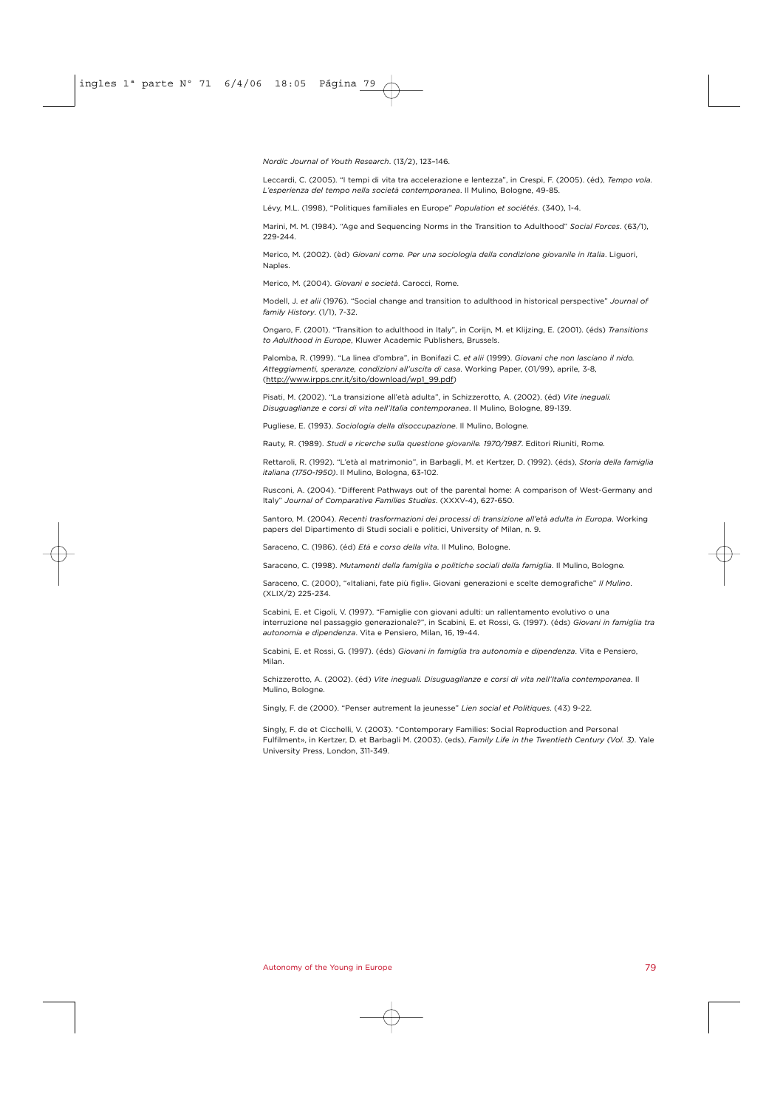*Nordic Journal of Youth Research*. (13/2), 123–146.

Leccardi, C. (2005). "I tempi di vita tra accelerazione e lentezza", in Crespi, F. (2005). (éd), *Tempo vola. L'esperienza del tempo nella società contemporanea*. Il Mulino, Bologne, 49-85.

Lévy, M.L. (1998), "Politiques familiales en Europe" *Population et sociétés*. (340), 1-4.

Marini, M. M. (1984). "Age and Sequencing Norms in the Transition to Adulthood" *Social Forces*. (63/1), 229-244.

Merico, M. (2002). (èd) *Giovani come. Per una sociologia della condizione giovanile in Italia*. Liguori, **Naples** 

Merico, M. (2004). *Giovani e società*. Carocci, Rome.

Modell, J. *et alii* (1976). "Social change and transition to adulthood in historical perspective" *Journal of family History*. (1/1), 7-32.

Ongaro, F. (2001). "Transition to adulthood in Italy", in Corijn, M. et Klijzing, E. (2001). (éds) *Transitions to Adulthood in Europe*, Kluwer Academic Publishers, Brussels.

Palomba, R. (1999). "La linea d'ombra", in Bonifazi C. *et alii* (1999). *Giovani che non lasciano il nido. Atteggiamenti, speranze, condizioni all'uscita di casa*. Working Paper, (01/99), aprile, 3-8, (http://www.irpps.cnr.it/sito/download/wp1\_99.pdf)

Pisati, M. (2002). "La transizione all'età adulta", in Schizzerotto, A. (2002). (éd) *Vite ineguali. Disuguaglianze e corsi di vita nell'Italia contemporanea*. Il Mulino, Bologne, 89-139.

Pugliese, E. (1993). *Sociologia della disoccupazione*. Il Mulino, Bologne.

Rauty, R. (1989). *Studi e ricerche sulla questione giovanile. 1970/1987*. Editori Riuniti, Rome.

Rettaroli, R. (1992). "L'età al matrimonio", in Barbagli, M. et Kertzer, D. (1992). (éds), *Storia della famiglia italiana (1750-1950)*. Il Mulino, Bologna, 63-102.

Rusconi, A. (2004). "Different Pathways out of the parental home: A comparison of West-Germany and Italy" *Journal of Comparative Families Studies*. (XXXV-4), 627-650.

Santoro, M. (2004). *Recenti trasformazioni dei processi di transizione all'età adulta in Europa*. Working papers del Dipartimento di Studi sociali e politici, University of Milan, n. 9.

Saraceno, C. (1986). (éd) *Età e corso della vita*. Il Mulino, Bologne.

Saraceno, C. (1998). *Mutamenti della famiglia e politiche sociali della famiglia*. Il Mulino, Bologne.

Saraceno, C. (2000), "«Italiani, fate più figli». Giovani generazioni e scelte demografiche" *Il Mulino*. (XLIX/2) 225-234.

Scabini, E. et Cigoli, V. (1997). "Famiglie con giovani adulti: un rallentamento evolutivo o una interruzione nel passaggio generazionale?", in Scabini, E. et Rossi, G. (1997). (éds) *Giovani in famiglia tra autonomia e dipendenza*. Vita e Pensiero, Milan, 16, 19-44.

Scabini, E. et Rossi, G. (1997). (éds) *Giovani in famiglia tra autonomia e dipendenza*. Vita e Pensiero, Milan.

Schizzerotto, A. (2002). (éd) *Vite ineguali. Disuguaglianze e corsi di vita nell'Italia contemporanea*. Il Mulino, Bologne.

Singly, F. de (2000). "Penser autrement la jeunesse" *Lien social et Politiques*. (43) 9-22.

Singly, F. de et Cicchelli, V. (2003). "Contemporary Families: Social Reproduction and Personal Fulfilment», in Kertzer, D. et Barbagli M. (2003). (eds), *Family Life in the Twentieth Century (Vol. 3)*. Yale University Press, London, 311-349.